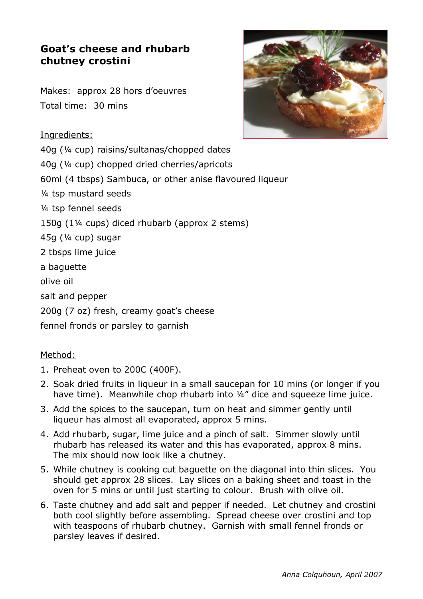# **Goat's cheese and rhubarb chutney crostini**

Makes: approx 28 hors d'oeuvres Total time: 30 mins

### Ingredients:

40g (¼ cup) raisins/sultanas/chopped dates 40g (¼ cup) chopped dried cherries/apricots 60ml (4 tbsps) Sambuca, or other anise flavoured liqueur ¼ tsp mustard seeds ¼ tsp fennel seeds 150g (1¼ cups) diced rhubarb (approx 2 stems) 45g (¼ cup) sugar 2 tbsps lime juice a baguette olive oil salt and pepper 200g (7 oz) fresh, creamy goat's cheese

fennel fronds or parsley to garnish

## Method:

- 1. Preheat oven to 200C (400F).
- 2. Soak dried fruits in liqueur in a small saucepan for 10 mins (or longer if you have time). Meanwhile chop rhubarb into ¼" dice and squeeze lime juice.
- 3. Add the spices to the saucepan, turn on heat and simmer gently until liqueur has almost all evaporated, approx 5 mins.
- 4. Add rhubarb, sugar, lime juice and a pinch of salt. Simmer slowly until rhubarb has released its water and this has evaporated, approx 8 mins. The mix should now look like a chutney.
- 5. While chutney is cooking cut baguette on the diagonal into thin slices. You should get approx 28 slices. Lay slices on a baking sheet and toast in the oven for 5 mins or until just starting to colour. Brush with olive oil.
- 6. Taste chutney and add salt and pepper if needed. Let chutney and crostini both cool slightly before assembling. Spread cheese over crostini and top with teaspoons of rhubarb chutney. Garnish with small fennel fronds or parsley leaves if desired.